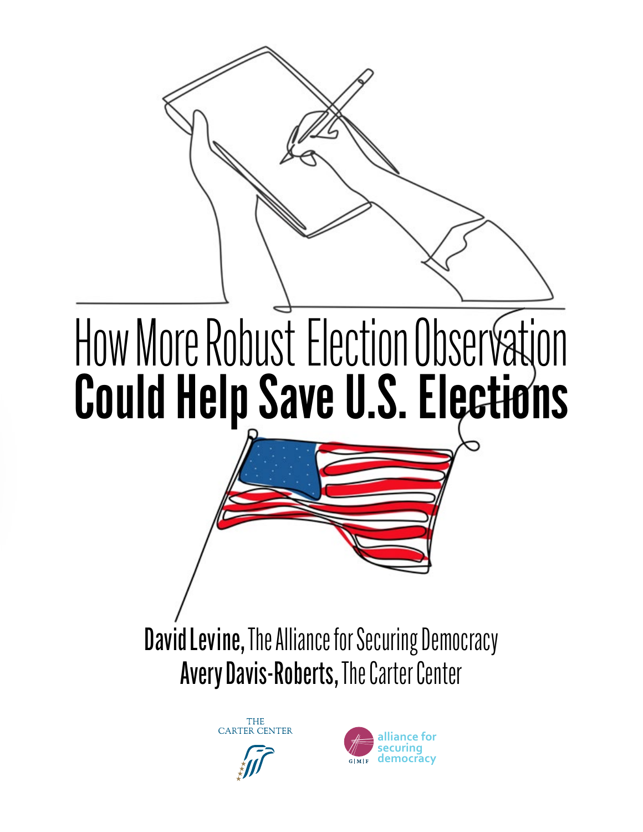



**securing democracy**

 $G \mid M \mid F$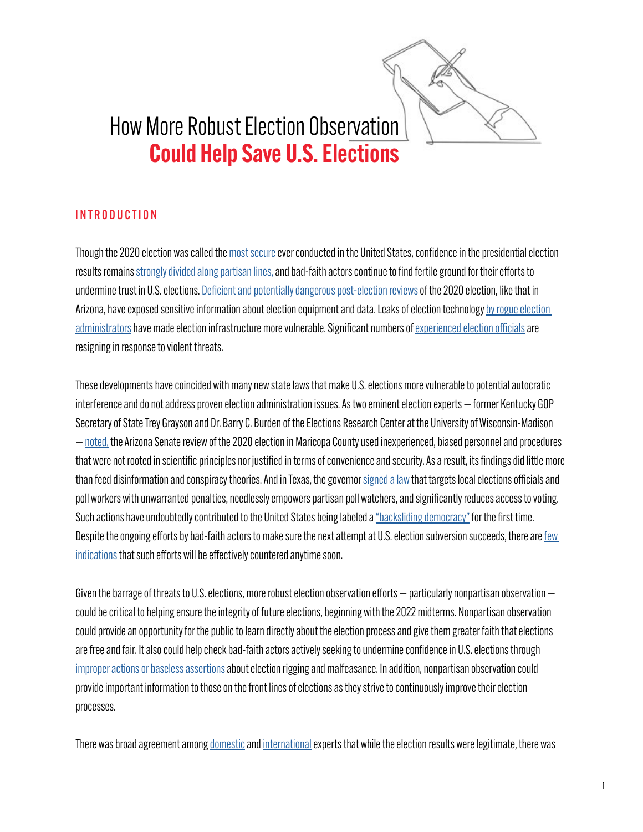

# How More Robust Election Observation Could Help Save U.S. Elections

#### INTRODUCTION

Though the 2020 election was called the [most secure](https://www.cisa.gov/news/2020/11/12/joint-statement-elections-infrastructure-government-coordinating-council-election) ever conducted in the United States, confidence in the presidential election results remains [strongly divided along partisan lines,](https://www.pbs.org/newshour/politics/as-election-day-nears-most-u-s-adults-say-future-of-democracy-is-under-threat) and bad-faith actors continue to find fertile ground for their efforts to undermine trust in U.S. elections. [Deficient and potentially dangerous post-election reviews](https://www.nytimes.com/2021/09/01/us/politics/gop-us-election-security.html) of the 2020 election, like that in Arizona, have exposed sensitive information about election equipment and data. Leaks of election technology [by rogue election](https://www.votebeat.org/2021/10/31/22754818/adams-township-michigan-clerk-election-qanon-tabulator)  [administrators](https://www.votebeat.org/2021/10/31/22754818/adams-township-michigan-clerk-election-qanon-tabulator) have made election infrastructure more vulnerable. Significant numbers of [experienced election officials](https://www.vice.com/en/article/pkpez7/election-officials-receiving-death-threats-causing-mass-exodus) are resigning in response to violent threats.

These developments have coincided with many new state laws that make U.S. elections more vulnerable to potential autocratic interference and do not address proven election administration issues. As two eminent election experts — former Kentucky GOP Secretary of State Trey Grayson and Dr. Barry C. Burden of the Elections Research Center at the University of Wisconsin-Madison — [noted,](https://statesuniteddemocracy.org/wp-content/uploads/2021/06/6.22.21-SUDC-Report-re-Cyber-Ninjas-Review-FINAL.pdf) the Arizona Senate review of the 2020 election in Maricopa County used inexperienced, biased personnel and procedures that were not rooted in scientific principles nor justified in terms of convenience and security. As a result, its findings did little more than feed disinformation and conspiracy theories. And in Texas, the governor [signed a law t](https://twitter.com/beckerdavidj/status/1433062887480860676)hat targets local elections officials and poll workers with unwarranted penalties, needlessly empowers partisan poll watchers, and significantly reduces access to voting. Such actions have undoubtedly contributed to the United States being labeled a ["backsliding democracy"](https://www.idea.int/gsod/sites/default/files/2021-11/the-global-state-of-democracy-2021_1.pdf) for the first time. Despite the ongoing efforts by bad-faith actors to make sure the next attempt at U.S. election subversion succeeds, there are [few](https://www.npr.org/2021/11/06/1052885882/democrats-are-worried-about-u-s-democracy-theyve-got-limited-tools-to-protect-it)  [indications](https://www.npr.org/2021/11/06/1052885882/democrats-are-worried-about-u-s-democracy-theyve-got-limited-tools-to-protect-it) that such efforts will be effectively countered anytime soon.

Given the barrage of threats to U.S. elections, more robust election observation efforts — particularly nonpartisan observation could be critical to helping ensure the integrity of future elections, beginning with the 2022 midterms. Nonpartisan observation could provide an opportunity for the public to learn directly about the election process and give them greater faith that elections are free and fair. It also could help check bad-faith actors actively seeking to undermine confidence in U.S. elections through [improper actions or baseless assertions](https://www.bridgemi.com/michigan-government/michigan-troopers-search-clerks-office-missing-election-equipment) about election rigging and malfeasance. In addition, nonpartisan observation could provide important information to those on the front lines of elections as they strive to continuously improve their election processes.

There was broad agreement among [domestic](https://fordhamlawreview.org/wp-content/uploads/2021/11/Green_November.pdf) and [international](https://www.osce.org/files/f/documents/7/7/477823_2.pdf) experts that while the election results were legitimate, there was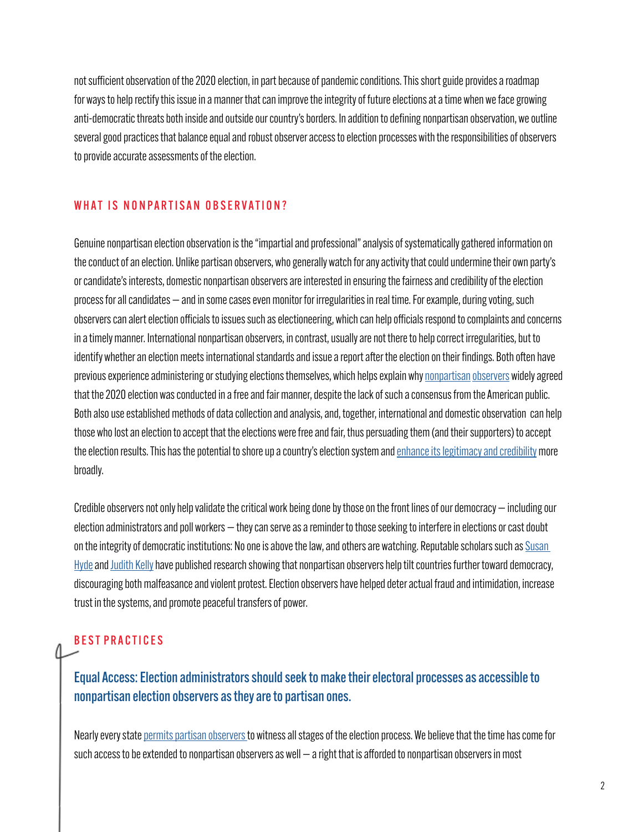not sufficient observation of the 2020 election, in part because of pandemic conditions. This short guide provides a roadmap for ways to help rectify this issue in a manner that can improve the integrity of future elections at a time when we face growing anti-democratic threats both inside and outside our country's borders. In addition to defining nonpartisan observation, we outline several good practices that balance equal and robust observer access to election processes with the responsibilities of observers to provide accurate assessments of the election.

#### WHAT IS NONPARTISAN OBSERVATION?

Genuine nonpartisan election observation is the "impartial and professional" analysis of systematically gathered information on the conduct of an election. Unlike partisan observers, who generally watch for any activity that could undermine their own party's or candidate's interests, domestic nonpartisan observers are interested in ensuring the fairness and credibility of the election process for all candidates — and in some cases even monitor for irregularities in real time. For example, during voting, such observers can alert election officials to issues such as electioneering, which can help officials respond to complaints and concerns in a timely manner. International nonpartisan observers, in contrast, usually are not there to help correct irregularities, but to identify whether an election meets international standards and issue a report after the election on their findings. Both often have previous experience administering or studying elections themselves, which helps explain why [nonpartisan](https://www.lwv.org/newsroom/press-releases/lwv-statement-2020-presidential-election-results) [observers](https://www.osce.org/files/f/documents/7/7/477823_2.pdf) widely agreed that the 2020 election was conducted in a free and fair manner, despite the lack of such a consensus from the American public. Both also use established methods of data collection and analysis, and, together, international and domestic observation can help those who lost an election to accept that the elections were free and fair, thus persuading them (and their supporters) to accept the election results. This has the potential to shore up a country's election system and [enhance its legitimacy and credibility](https://thehill.com/opinion/international/595126-osce-member-states-must-deliver-on-election-observation-mission-for) more broadly.

Credible observers not only help validate the critical work being done by those on the front lines of our democracy — including our election administrators and poll workers — they can serve as a reminder to those seeking to interfere in elections or cast doubt on the integrity of democratic institutions: No one is above the law, and others are watching. Reputable scholars such as [Susan](https://isps.yale.edu/research/publications/isps07-009)  [Hyde](https://isps.yale.edu/research/publications/isps07-009) and [Judith Kelly](https://sites.duke.edu/kelley/) have published research showing that nonpartisan observers help tilt countries further toward democracy, discouraging both malfeasance and violent protest. Election observers have helped deter actual fraud and intimidation, increase trust in the systems, and promote peaceful transfers of power.

### BEST PRACTICES

Equal Access: Election administrators should seek to make their electoral processes as accessible to nonpartisan election observers as they are to partisan ones.

Nearly every state [permits partisan observers](https://www.osce.org/files/f/documents/7/7/477823_2.pdf) to witness all stages of the election process. We believe that the time has come for such access to be extended to nonpartisan observers as well — a right that is afforded to nonpartisan observers in most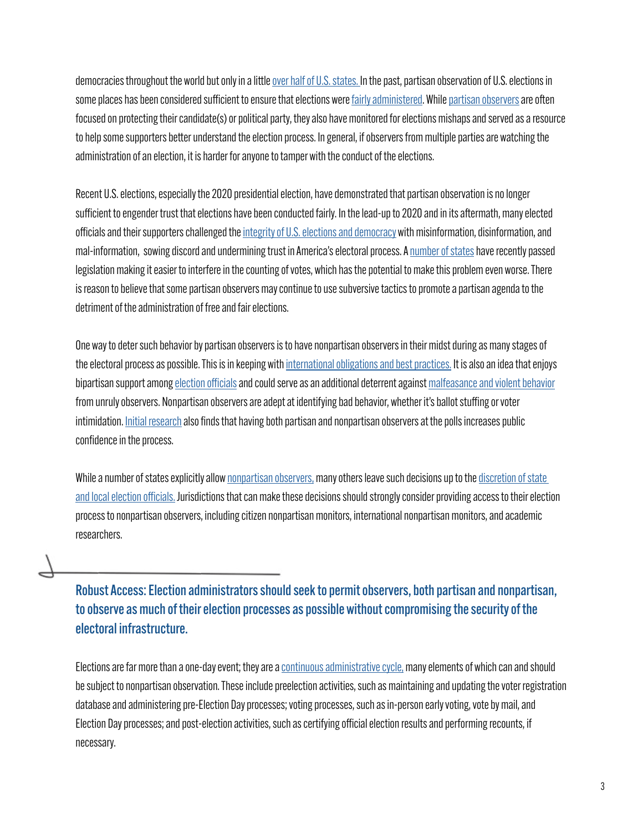democracies throughout the world but only in a little [over half of U.S. states.](https://www.ncsl.org/research/elections-and-campaigns/policies-for-election-observers.aspx) In the past, partisan observation of U.S. elections in some places has been considered sufficient to ensure that elections were [fairly administered](https://www.aei.org/wp-content/uploads/2021/09/Lessons-Learned-in-the-2020-Election.pdf?x91208). While [partisan observers](https://www.ncsl.org/research/elections-and-campaigns/who-s-observing-at-the-polls.aspx) are often focused on protecting their candidate(s) or political party, they also have monitored for elections mishaps and served as a resource to help some supporters better understand the election process. In general, if observers from multiple parties are watching the administration of an election, it is harder for anyone to tamper with the conduct of the elections.

Recent U.S. elections, especially the 2020 presidential election, have demonstrated that partisan observation is no longer sufficient to engender trust that elections have been conducted fairly. In the lead-up to 2020 and in its aftermath, many elected officials and their supporters challenged the [integrity of U.S. elections and democracy](https://floridapolitics.com/archives/466678-supervisors-of-elections-to-elected-officials-tone-down-the-rhetoric/) with misinformation, disinformation, and mal-information, sowing discord and undermining trust in America's electoral process. A [number of states](https://www.brennancenter.org/our-work/research-reports/election-sabotage-scheme-and-how-congress-can-stop-it) have recently passed legislation making it easier to interfere in the counting of votes, which has the potential to make this problem even worse. There is reason to believe that some partisan observers may continue to use subversive tactics to promote a partisan agenda to the detriment of the administration of free and fair elections.

One way to deter such behavior by partisan observers is to have nonpartisan observers in their midst during as many stages of the electoral process as possible. This is in keeping with [international obligations and best practices.](https://perma.cc/5SG8-6NFM) It is also an idea that enjoys bipartisan support among [election officials](https://bipartisanpolicy.org/report/election-observations-challenges/) and could serve as an additional deterrent against [malfeasance and violent behavior](https://sites.duke.edu/kelley/) from unruly observers. Nonpartisan observers are adept at identifying bad behavior, whether it's ballot stuffing or voter intimidation. [Initial research](https://medium.com/mit-election-lab/watchers-at-the-polls-ca2e8f05592) also finds that having both partisan and nonpartisan observers at the polls increases public confidence in the process.

While a number of states explicitly allow [nonpartisan observers,](https://www.ncsl.org/research/elections-and-campaigns/policies-for-election-observers.aspx) many others leave such decisions up to the [discretion of state](https://www.ncsl.org/research/elections-and-campaigns/policies-for-election-observers.aspx)  [and local election officials.](https://www.ncsl.org/research/elections-and-campaigns/policies-for-election-observers.aspx) Jurisdictions that can make these decisions should strongly consider providing access to their election process to nonpartisan observers, including citizen nonpartisan monitors, international nonpartisan monitors, and academic researchers.

Robust Access: Election administrators should seek to permit observers, both partisan and nonpartisan, to observe as much of their election processes as possible without compromising the security of the electoral infrastructure.

Elections are far more than a one-day event; they are a [continuous administrative cycle,](https://aceproject.org/ero-en/images/the-electoral-cycle/image_view_fullscreen) many elements of which can and should be subject to nonpartisan observation. These include preelection activities, such as maintaining and updating the voter registration database and administering pre-Election Day processes; voting processes, such as in-person early voting, vote by mail, and Election Day processes; and post-election activities, such as certifying official election results and performing recounts, if necessary.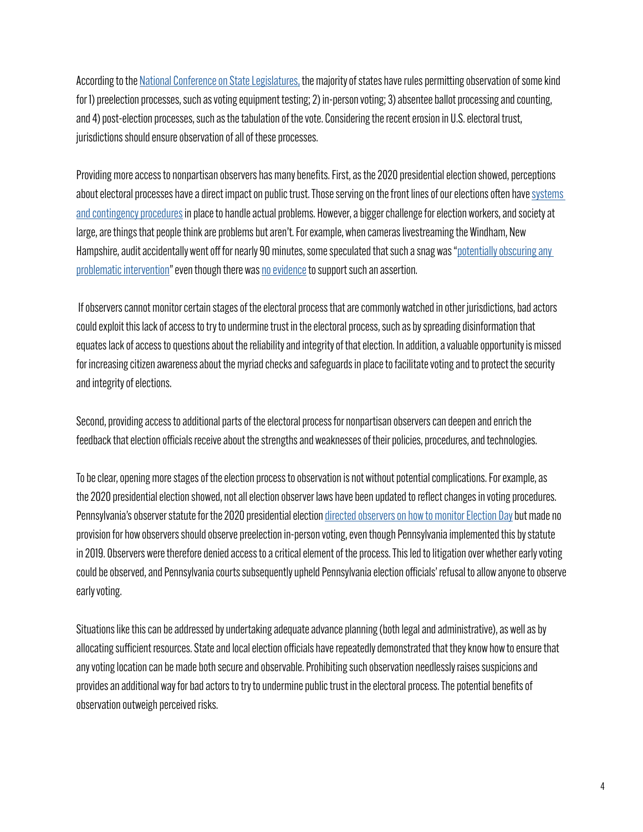According to the [National Conference on State Legislatures,](https://www.ncsl.org/research/elections-and-campaigns/policies-for-election-observers.aspx#citizen_partisan) the majority of states have rules permitting observation of some kind for 1) preelection processes, such as voting equipment testing; 2) in-person voting; 3) absentee ballot processing and counting, and 4) post-election processes, such as the tabulation of the vote. Considering the recent erosion in U.S. electoral trust, jurisdictions should ensure observation of all of these processes.

Providing more access to nonpartisan observers has many benefits. First, as the 2020 presidential election showed, perceptions about electoral processes have a direct impact on public trust. Those serving on the front lines of our elections often have s[ystems](https://www.aei.org/wp-content/uploads/2021/09/Lessons-Learned-in-the-2020-Election.pdf?x91208)  [and contingency procedures](https://www.aei.org/wp-content/uploads/2021/09/Lessons-Learned-in-the-2020-Election.pdf?x91208) in place to handle actual problems. However, a bigger challenge for election workers, and society at large, are things that people think are problems but aren't. For example, when cameras livestreaming the Windham, New Hampshire, audit accidentally went off for nearly 90 minutes, some speculated that such a snag was "[potentially obscuring any](https://theconservativetreehouse.com/blog/2021/05/17/windham-new-hampshire-ballot-audit-forensics-finds-cctv-cameras-of-ballot-counting-machines-in-audit-room-mysteriously-disabled-for-90-minutes/)  [problematic intervention](https://theconservativetreehouse.com/blog/2021/05/17/windham-new-hampshire-ballot-audit-forensics-finds-cctv-cameras-of-ballot-counting-machines-in-audit-room-mysteriously-disabled-for-90-minutes/)" even though there was [no evidence](https://www.derrynews.com/news/windham/windham-audit-ends-after-analysis-paperwork-and-questions/article_7406ff47-669f-5853-86e7-783a917bed1e.html) to support such an assertion.

 If observers cannot monitor certain stages of the electoral process that are commonly watched in other jurisdictions, bad actors could exploit this lack of access to try to undermine trust in the electoral process, such as by spreading disinformation that equates lack of access to questions about the reliability and integrity of that election. In addition, a valuable opportunity is missed for increasing citizen awareness about the myriad checks and safeguards in place to facilitate voting and to protect the security and integrity of elections.

Second, providing access to additional parts of the electoral process for nonpartisan observers can deepen and enrich the feedback that election officials receive about the strengths and weaknesses of their policies, procedures, and technologies.

To be clear, opening more stages of the election process to observation is not without potential complications. For example, as the 2020 presidential election showed, not all election observer laws have been updated to reflect changes in voting procedures. Pennsylvania's observer statute for the 2020 presidential election [directed observers on how to monitor Election Day](https://scholarship.law.wm.edu/cgi/viewcontent.cgi?article=3093&context=facpubs) but made no provision for how observers should observe preelection in-person voting, even though Pennsylvania implemented this by statute in 2019. Observers were therefore denied access to a critical element of the process. This led to litigation over whether early voting could be observed, and Pennsylvania courts subsequently upheld Pennsylvania election officials' refusal to allow anyone to observe early voting.

Situations like this can be addressed by undertaking adequate advance planning (both legal and administrative), as well as by allocating sufficient resources. State and local election officials have repeatedly demonstrated that they know how to ensure that any voting location can be made both secure and observable. Prohibiting such observation needlessly raises suspicions and provides an additional way for bad actors to try to undermine public trust in the electoral process. The potential benefits of observation outweigh perceived risks.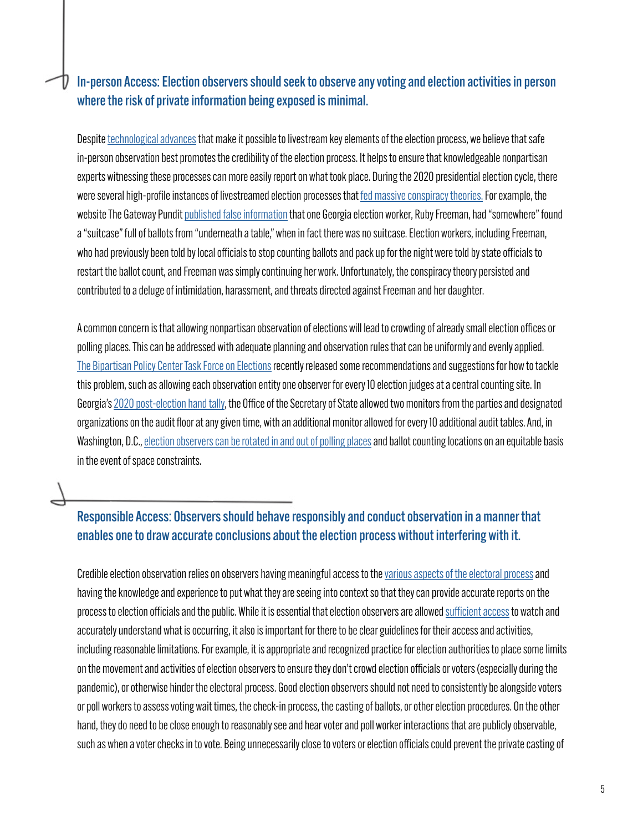# In-person Access: Election observers should seek to observe any voting and election activities in person where the risk of private information being exposed is minimal.

Despite [technological advances](https://thehill.com/opinion/campaign/551760-restore-trust-in-our-democracy-through-more-election-transparency) that make it possible to livestream key elements of the election process, we believe that safe in-person observation best promotes the credibility of the election process. It helps to ensure that knowledgeable nonpartisan experts witnessing these processes can more easily report on what took place. During the 2020 presidential election cycle, there were several high-profile instances of livestreamed election processes that [fed massive conspiracy theories.](https://fordhamlawreview.org/wp-content/uploads/2021/11/Green_November.pdf) For example, the website The Gateway Pundit [published false information](https://www.nbcnews.com/tech/internet/georgia-election-workers-suing-conspiracy-website-campaign-lies-rcna7319) that one Georgia election worker, Ruby Freeman, had "somewhere" found a "suitcase" full of ballots from "underneath a table," when in fact there was no suitcase. Election workers, including Freeman, who had previously been told by local officials to stop counting ballots and pack up for the night were told by state officials to restart the ballot count, and Freeman was simply continuing her work. Unfortunately, the conspiracy theory persisted and contributed to a deluge of intimidation, harassment, and threats directed against Freeman and her daughter.

A common concern is that allowing nonpartisan observation of elections will lead to crowding of already small election offices or polling places. This can be addressed with adequate planning and observation rules that can be uniformly and evenly applied. [The Bipartisan Policy Center Task Force on Elections](https://bipartisanpolicy.org/report/election-observations-challenges/) recently released some recommendations and suggestions for how to tackle this problem, such as allowing each observation entity one observer for every 10 election judges at a central counting site. In Georgia's [2020 post-election hand tally](https://www.cartercenter.org/resources/pdfs/news/peace_publications/democracy/georgia-audit-final-report-033121.pdf), the Office of the Secretary of State allowed two monitors from the parties and designated organizations on the audit floor at any given time, with an additional monitor allowed for every 10 additional audit tables. And, in Washington, D.C., [election observers can be rotated in and out of polling places](https://www.dcregs.dc.gov/Common/DCMR/RuleDetail.aspx?RuleId=R0045784) and ballot counting locations on an equitable basis in the event of space constraints.

# Responsible Access: Observers should behave responsibly and conduct observation in a manner that enables one to draw accurate conclusions about the election process without interfering with it.

Credible election observation relies on observers having meaningful access to the [various aspects of the electoral process](https://securingdemocracy.gmfus.org/wp-content/uploads/2020/10/ASD_IFES.pdf) and having the knowledge and experience to put what they are seeing into context so that they can provide accurate reports on the process to election officials and the public. While it is essential that election observers are allowed [sufficient access](https://studentbriefs.law.gwu.edu/ilpb/2021/03/05/trust-but-verify-increasing-confidence-in-democratic-elections/) to watch and accurately understand what is occurring, it also is important for there to be clear guidelines for their access and activities, including reasonable limitations. For example, it is appropriate and recognized practice for election authorities to place some limits on the movement and activities of election observers to ensure they don't crowd election officials or voters (especially during the pandemic), or otherwise hinder the electoral process. Good election observers should not need to consistently be alongside voters or poll workers to assess voting wait times, the check-in process, the casting of ballots, or other election procedures. On the other hand, they do need to be close enough to reasonably see and hear voter and poll worker interactions that are publicly observable, such as when a voter checks in to vote. Being unnecessarily close to voters or election officials could prevent the private casting of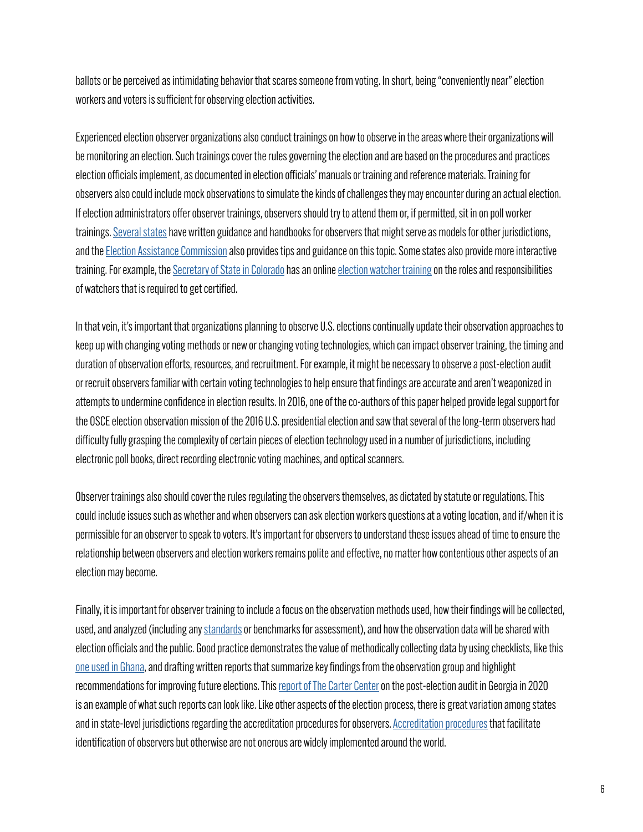ballots or be perceived as intimidating behavior that scares someone from voting. In short, being "conveniently near" election workers and voters is sufficient for observing election activities.

Experienced election observer organizations also conduct trainings on how to observe in the areas where their organizations will be monitoring an election. Such trainings cover the rules governing the election and are based on the procedures and practices election officials implement, as documented in election officials' manuals or training and reference materials. Training for observers also could include mock observations to simulate the kinds of challenges they may encounter during an actual election. If election administrators offer observer trainings, observers should try to attend them or, if permitted, sit in on poll worker trainings. [Several states](https://www.eac.gov/election-officials/poll-watchers) have written guidance and handbooks for observers that might serve as models for other jurisdictions, and the [Election Assistance Commission](https://www.eac.gov/sites/default/files/eac_assets/1/28/EAC_5TipsForEducatingPollWatchers_508_HiRes.pdf) also provides tips and guidance on this topic. Some states also provide more interactive training. For example, the [Secretary of State in Colorado](https://www.sos.state.co.us/pubs/elections/watchers.html) has an online [election watcher training](https://soclearns.csod.com/selfreg/register.aspx?c=%255e%255e%255eQh1ClXZUXSNwVN6BmYFa%252fxmq7lp9hTaa6cgVGlaV5Gw%253d) on the roles and responsibilities of watchers that is required to get certified.

In that vein, it's important that organizations planning to observe U.S. elections continually update their observation approaches to keep up with changing voting methods or new or changing voting technologies, which can impact observer training, the timing and duration of observation efforts, resources, and recruitment. For example, it might be necessary to observe a post-election audit or recruit observers familiar with certain voting technologies to help ensure that findings are accurate and aren't weaponized in attempts to undermine confidence in election results. In 2016, one of the co-authors of this paper helped provide legal support for the OSCE election observation mission of the 2016 U.S. presidential election and saw that several of the long-term observers had difficulty fully grasping the complexity of certain pieces of election technology used in a number of jurisdictions, including electronic poll books, direct recording electronic voting machines, and optical scanners.

Observer trainings also should cover the rules regulating the observers themselves, as dictated by statute or regulations. This could include issues such as whether and when observers can ask election workers questions at a voting location, and if/when it is permissible for an observer to speak to voters. It's important for observers to understand these issues ahead of time to ensure the relationship between observers and election workers remains polite and effective, no matter how contentious other aspects of an election may become.

Finally, it is important for observer training to include a focus on the observation methods used, how their findings will be collected, used, and analyzed (including any [standards](https://eos.cartercenter.org) or benchmarks for assessment), and how the observation data will be shared with election officials and the public. Good practice demonstrates the value of methodically collecting data by using checklists, like this [one used in Ghana,](https://www.cartercenter.org/resources/pdfs/peace/democracy/des/ElectionDayChecklists-Opening-Polling-Closing.pdf) and drafting written reports that summarize key findings from the observation group and highlight recommendations for improving future elections. This [report of The Carter Center](https://www.cartercenter.org/resources/pdfs/news/peace_publications/democracy/georgia-audit-final-report-033121.pdf) on the post-election audit in Georgia in 2020 is an example of what such reports can look like. Like other aspects of the election process, there is great variation among states and in state-level jurisdictions regarding the accreditation procedures for observers. [Accreditation procedures](https://aceproject.org/main/english/ei/eie08.htm) that facilitate identification of observers but otherwise are not onerous are widely implemented around the world.